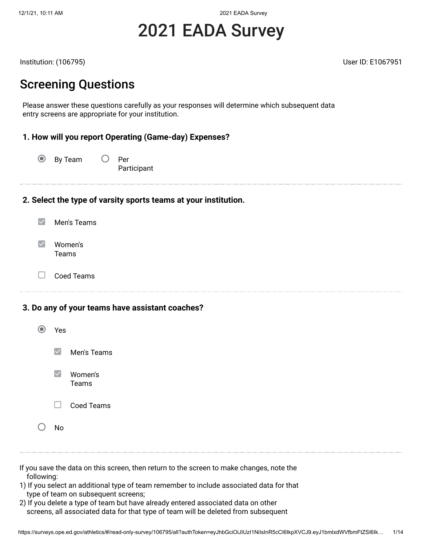# 2021 EADA Survey

Institution: (106795) User ID: E1067951

### Screening Questions

Please answer these questions carefully as your responses will determine which subsequent data entry screens are appropriate for your institution.

#### **1. How will you report Operating (Game-day) Expenses?**

 $\circledcirc$  By Team  $\circlearrowright$  Per Participant

**2. Select the type of varsity sports teams at your institution.**

| Men's Teams      |
|------------------|
| Women's<br>Teams |

 $\Box$ Coed Teams

#### **3. Do any of your teams have assistant coaches?**

| Yes                  |                         |
|----------------------|-------------------------|
| $\blacktriangledown$ | Men's Teams             |
|                      | $\vee$ Women's<br>Teams |
| $\Box$               | Coed Teams              |
| N۵                   |                         |

- If you save the data on this screen, then return to the screen to make changes, note the following:
- 1) If you select an additional type of team remember to include associated data for that type of team on subsequent screens;
- 2) If you delete a type of team but have already entered associated data on other screens, all associated data for that type of team will be deleted from subsequent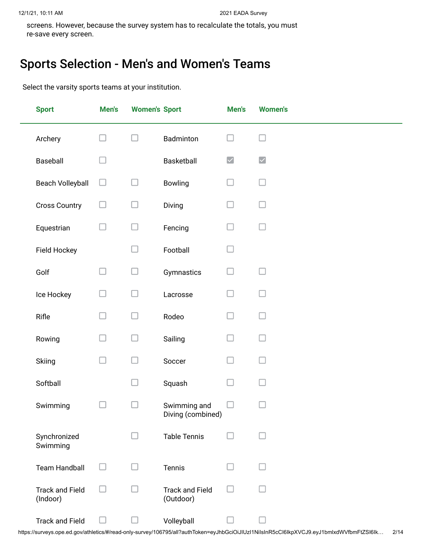screens. However, because the survey system has to recalculate the totals, you must re-save every screen.

### Sports Selection - Men's and Women's Teams

Select the varsity sports teams at your institution.

| <b>Sport</b>                       | Men's  | <b>Women's Sport</b> |                                     | Men's                | <b>Women's</b>       |
|------------------------------------|--------|----------------------|-------------------------------------|----------------------|----------------------|
| Archery                            | l. I   |                      | Badminton                           |                      |                      |
| Baseball                           |        |                      | Basketball                          | $\blacktriangledown$ | $\blacktriangledown$ |
| <b>Beach Volleyball</b>            | $\Box$ |                      | Bowling                             | n l                  |                      |
| <b>Cross Country</b>               | ⊔      |                      | Diving                              | n l                  | H                    |
| Equestrian                         | $\Box$ |                      | Fencing                             |                      |                      |
| Field Hockey                       |        |                      | Football                            | - 1                  |                      |
| Golf                               | H      | - 1                  | Gymnastics                          | - 1                  |                      |
| Ice Hockey                         | $\Box$ |                      | Lacrosse                            |                      |                      |
| Rifle                              | $\Box$ |                      | Rodeo                               |                      |                      |
| Rowing                             | П      |                      | Sailing                             | $\mathcal{L}$        |                      |
| Skiing                             | $\Box$ |                      | Soccer                              | - 1                  |                      |
| Softball                           |        |                      | Squash                              | H                    |                      |
| Swimming                           |        |                      | Swimming and<br>Diving (combined)   |                      |                      |
| Synchronized<br>Swimming           |        |                      | <b>Table Tennis</b>                 |                      |                      |
| <b>Team Handball</b>               |        |                      | Tennis                              |                      |                      |
| <b>Track and Field</b><br>(Indoor) |        |                      | <b>Track and Field</b><br>(Outdoor) |                      |                      |
| <b>Track and Field</b>             |        |                      | Volleyball                          |                      |                      |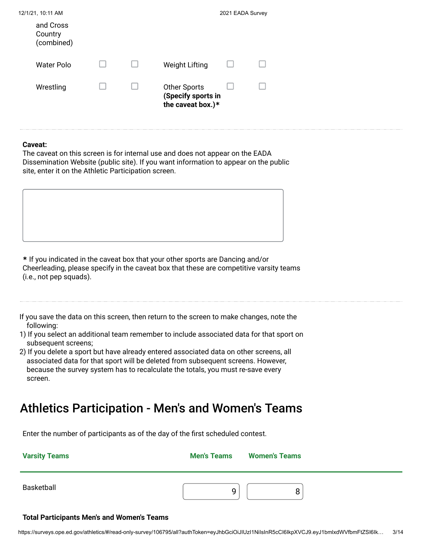| 12/1/21, 10:11 AM                  |  |                                                                | 2021 EADA Survey |  |
|------------------------------------|--|----------------------------------------------------------------|------------------|--|
| and Cross<br>Country<br>(combined) |  |                                                                |                  |  |
| Water Polo                         |  | <b>Weight Lifting</b>                                          |                  |  |
| Wrestling                          |  | <b>Other Sports</b><br>(Specify sports in<br>the caveat box.)* |                  |  |

#### **Caveat:**

The caveat on this screen is for internal use and does not appear on the EADA Dissemination Website (public site). If you want information to appear on the public site, enter it on the Athletic Participation screen.

**\*** If you indicated in the caveat box that your other sports are Dancing and/or Cheerleading, please specify in the caveat box that these are competitive varsity teams (i.e., not pep squads).

If you save the data on this screen, then return to the screen to make changes, note the following:

1) If you select an additional team remember to include associated data for that sport on subsequent screens;

2) If you delete a sport but have already entered associated data on other screens, all associated data for that sport will be deleted from subsequent screens. However, because the survey system has to recalculate the totals, you must re-save every screen.

### Athletics Participation - Men's and Women's Teams

Enter the number of participants as of the day of the first scheduled contest.

| <b>Varsity Teams</b> | <b>Men's Teams</b><br><b>Women's Teams</b> |
|----------------------|--------------------------------------------|
| Basketball           | Q<br>O                                     |

#### **Total Participants Men's and Women's Teams**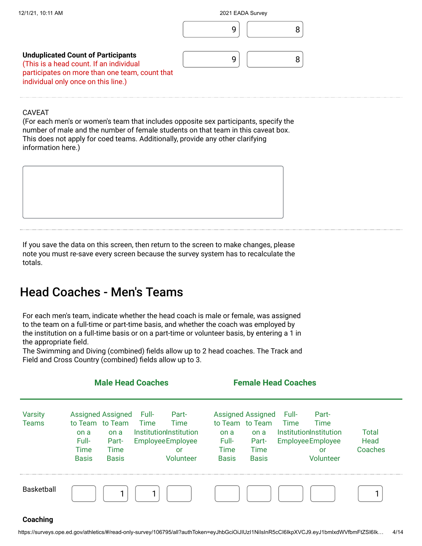

(For each men's or women's team that includes opposite sex participants, specify the number of male and the number of female students on that team in this caveat box. This does not apply for coed teams. Additionally, provide any other clarifying information here.)

If you save the data on this screen, then return to the screen to make changes, please note you must re-save every screen because the survey system has to recalculate the totals.

### Head Coaches - Men's Teams

For each men's team, indicate whether the head coach is male or female, was assigned to the team on a full-time or part-time basis, and whether the coach was employed by the institution on a full-time basis or on a part-time or volunteer basis, by entering a 1 in the appropriate field.

The Swimming and Diving (combined) fields allow up to 2 head coaches. The Track and Field and Cross Country (combined) fields allow up to 3.

|                                | <b>Male Head Coaches</b>                                                                                                             |                                                                                                         |                                                                                                                                      | <b>Female Head Coaches</b>                                                                              |                          |
|--------------------------------|--------------------------------------------------------------------------------------------------------------------------------------|---------------------------------------------------------------------------------------------------------|--------------------------------------------------------------------------------------------------------------------------------------|---------------------------------------------------------------------------------------------------------|--------------------------|
| <b>Varsity</b><br><b>Teams</b> | <b>Assigned Assigned</b><br>to Team to Team<br>on a<br>on a<br>Full-<br>Part-<br><b>Time</b><br>Time<br><b>Basis</b><br><b>Basis</b> | Full-<br>Part-<br>Time<br>Time<br>InstitutionInstitution<br><b>Employee Employee</b><br>or<br>Volunteer | <b>Assigned Assigned</b><br>to Team to Team<br>on a<br>on a<br>Full-<br>Part-<br><b>Time</b><br>Time<br><b>Basis</b><br><b>Basis</b> | Full-<br>Part-<br>Time<br>Time<br>InstitutionInstitution<br><b>Employee Employee</b><br>or<br>Volunteer | Total<br>Head<br>Coaches |
| Basketball                     |                                                                                                                                      | 1                                                                                                       |                                                                                                                                      |                                                                                                         |                          |

#### **Coaching**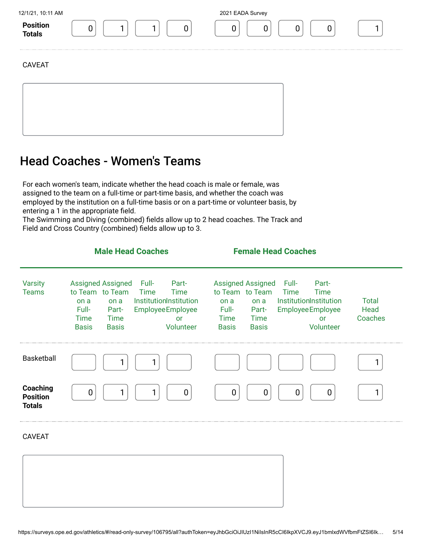| 12/1/21, 10:11 AM         | 2021 EADA Survey |  |
|---------------------------|------------------|--|
| <b>Position</b><br>iotals |                  |  |
|                           |                  |  |



### Head Coaches - Women's Teams

For each women's team, indicate whether the head coach is male or female, was assigned to the team on a full-time or part-time basis, and whether the coach was employed by the institution on a full-time basis or on a part-time or volunteer basis, by entering a 1 in the appropriate field.

The Swimming and Diving (combined) fields allow up to 2 head coaches. The Track and Field and Cross Country (combined) fields allow up to 3.

|                                              | <b>Male Head Coaches</b>                                                                                                                                                                                                                               | <b>Female Head Coaches</b>                                                                                                                                                                                                               |                                 |  |
|----------------------------------------------|--------------------------------------------------------------------------------------------------------------------------------------------------------------------------------------------------------------------------------------------------------|------------------------------------------------------------------------------------------------------------------------------------------------------------------------------------------------------------------------------------------|---------------------------------|--|
| <b>Varsity</b><br><b>Teams</b>               | <b>Assigned Assigned</b><br>Part-<br>Full-<br>to Team to Team<br>Time<br>Time<br>InstitutionInstitution<br>on a<br>on a<br>Full-<br><b>Employee Employee</b><br>Part-<br><b>Time</b><br>Time<br><b>or</b><br><b>Basis</b><br><b>Basis</b><br>Volunteer | <b>Assigned Assigned</b><br>Full-<br>Part-<br>to Team to Team<br>Time<br>Time<br>InstitutionInstitution<br>on a<br>on a<br>Full-<br><b>Employee Employee</b><br>Part-<br>Time<br>Time<br>or<br>Volunteer<br><b>Basis</b><br><b>Basis</b> | <b>Total</b><br>Head<br>Coaches |  |
| Basketball                                   |                                                                                                                                                                                                                                                        |                                                                                                                                                                                                                                          |                                 |  |
| Coaching<br><b>Position</b><br><b>Totals</b> | 0                                                                                                                                                                                                                                                      | $\overline{0}$<br>0<br>0<br>n                                                                                                                                                                                                            |                                 |  |
| <b>CAVEAT</b>                                |                                                                                                                                                                                                                                                        |                                                                                                                                                                                                                                          |                                 |  |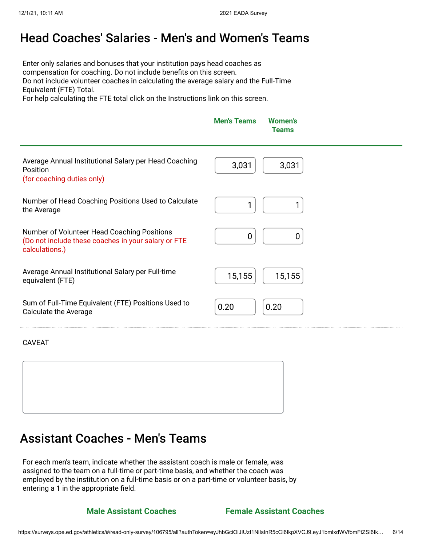### Head Coaches' Salaries - Men's and Women's Teams

Enter only salaries and bonuses that your institution pays head coaches as compensation for coaching. Do not include benefits on this screen. Do not include volunteer coaches in calculating the average salary and the Full-Time Equivalent (FTE) Total.

For help calculating the FTE total click on the Instructions link on this screen.

|                                                                                                                      | <b>Men's Teams</b> | <b>Women's</b><br><b>Teams</b> |
|----------------------------------------------------------------------------------------------------------------------|--------------------|--------------------------------|
| Average Annual Institutional Salary per Head Coaching<br>Position<br>(for coaching duties only)                      | 3,031              | 3,031                          |
| Number of Head Coaching Positions Used to Calculate<br>the Average                                                   |                    |                                |
| Number of Volunteer Head Coaching Positions<br>(Do not include these coaches in your salary or FTE<br>calculations.) | 0                  |                                |
| Average Annual Institutional Salary per Full-time<br>equivalent (FTE)                                                | 15,155             | 15,155                         |
| Sum of Full-Time Equivalent (FTE) Positions Used to<br><b>Calculate the Average</b>                                  | 0.20               | 0.20                           |

CAVEAT



### Assistant Coaches - Men's Teams

For each men's team, indicate whether the assistant coach is male or female, was assigned to the team on a full-time or part-time basis, and whether the coach was employed by the institution on a full-time basis or on a part-time or volunteer basis, by entering a 1 in the appropriate field.

**Male Assistant Coaches Female Assistant Coaches**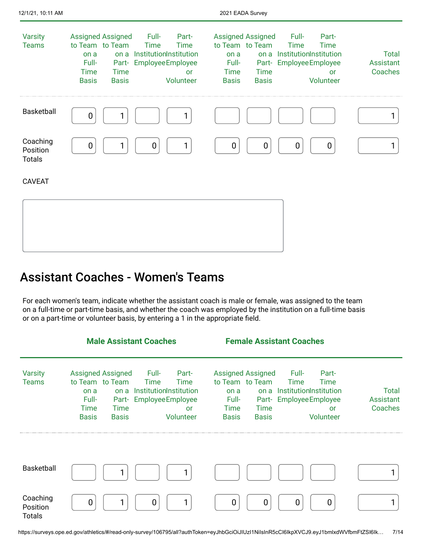| 12/1/21, 10:11 AM                     |                                                                                                                                    |                                                                                                                     | 2021 EADA Survey                                                                                                           |                                                                                                                          |                                      |
|---------------------------------------|------------------------------------------------------------------------------------------------------------------------------------|---------------------------------------------------------------------------------------------------------------------|----------------------------------------------------------------------------------------------------------------------------|--------------------------------------------------------------------------------------------------------------------------|--------------------------------------|
| <b>Varsity</b><br><b>Teams</b>        | <b>Assigned Assigned</b><br>to Team to Team<br>on a<br>on a<br>Full-<br><b>Time</b><br><b>Time</b><br><b>Basis</b><br><b>Basis</b> | Full-<br>Part-<br><b>Time</b><br>Time<br>InstitutionInstitution<br>Part- EmployeeEmployee<br><b>or</b><br>Volunteer | <b>Assigned Assigned</b><br>to Team to Team<br>on a<br>Full-<br><b>Time</b><br><b>Time</b><br><b>Basis</b><br><b>Basis</b> | Full-<br>Part-<br><b>Time</b><br>Time<br>on a InstitutionInstitution<br>Part- EmployeeEmployee<br><b>or</b><br>Volunteer | <b>Total</b><br>Assistant<br>Coaches |
| Basketball                            | $\mathbf 0$                                                                                                                        |                                                                                                                     |                                                                                                                            |                                                                                                                          | 1                                    |
| Coaching<br>Position<br><b>Totals</b> | 1<br>0                                                                                                                             | 0                                                                                                                   | $\mathbf 0$<br>0                                                                                                           | $\overline{0}$<br>$\mathbf 0$                                                                                            | 1                                    |
| <b>CAVEAT</b>                         |                                                                                                                                    |                                                                                                                     |                                                                                                                            |                                                                                                                          |                                      |
|                                       |                                                                                                                                    |                                                                                                                     |                                                                                                                            |                                                                                                                          |                                      |

# Assistant Coaches - Women's Teams

For each women's team, indicate whether the assistant coach is male or female, was assigned to the team on a full-time or part-time basis, and whether the coach was employed by the institution on a full-time basis or on a part-time or volunteer basis, by entering a 1 in the appropriate field.

|                                       | <b>Male Assistant Coaches</b>                                                                                                                                                                                                                          | <b>Female Assistant Coaches</b>                                                                                                                                                                                               |                               |
|---------------------------------------|--------------------------------------------------------------------------------------------------------------------------------------------------------------------------------------------------------------------------------------------------------|-------------------------------------------------------------------------------------------------------------------------------------------------------------------------------------------------------------------------------|-------------------------------|
| <b>Varsity</b><br><b>Teams</b>        | <b>Assigned Assigned</b><br>Full-<br>Part-<br>to Team to Team<br><b>Time</b><br><b>Time</b><br>InstitutionInstitution<br>on a<br>on a<br><b>Employee Employee</b><br>Full-<br>Part-<br>Time<br>Time<br>or<br>Volunteer<br><b>Basis</b><br><b>Basis</b> | <b>Assigned Assigned</b><br>Full-<br>Part-<br>to Team to Team<br>Time<br>Time<br>InstitutionInstitution<br>on a<br>on a<br>Part- EmployeeEmployee<br>Full-<br>Time<br>Time<br>or<br>Volunteer<br><b>Basis</b><br><b>Basis</b> | Total<br>Assistant<br>Coaches |
| Basketball                            |                                                                                                                                                                                                                                                        |                                                                                                                                                                                                                               |                               |
| Coaching<br>Position<br><b>Totals</b> | $\mathbf 0$<br>1<br>0                                                                                                                                                                                                                                  | 0<br>$\mathbf 0$<br>0<br>$\overline{0}$                                                                                                                                                                                       |                               |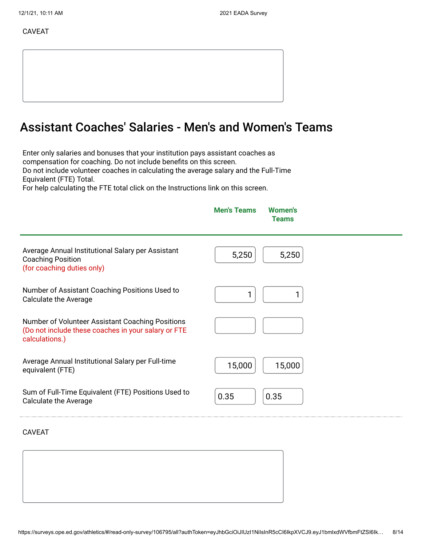# Assistant Coaches' Salaries - Men's and Women's Teams

Enter only salaries and bonuses that your institution pays assistant coaches as compensation for coaching. Do not include benefits on this screen. Do not include volunteer coaches in calculating the average salary and the Full-Time Equivalent (FTE) Total.

For help calculating the FTE total click on the Instructions link on this screen.

|                                                                                                                           | <b>Men's Teams</b><br><b>Women's</b><br><b>Teams</b> |  |
|---------------------------------------------------------------------------------------------------------------------------|------------------------------------------------------|--|
| Average Annual Institutional Salary per Assistant<br><b>Coaching Position</b><br>(for coaching duties only)               | 5,250<br>5,250                                       |  |
| Number of Assistant Coaching Positions Used to<br>Calculate the Average                                                   |                                                      |  |
| Number of Volunteer Assistant Coaching Positions<br>(Do not include these coaches in your salary or FTE<br>calculations.) |                                                      |  |
| Average Annual Institutional Salary per Full-time<br>equivalent (FTE)                                                     | 15,000<br>15,000                                     |  |
| Sum of Full-Time Equivalent (FTE) Positions Used to<br><b>Calculate the Average</b>                                       | 0.35<br>0.35                                         |  |
| <b>CAVEAT</b>                                                                                                             |                                                      |  |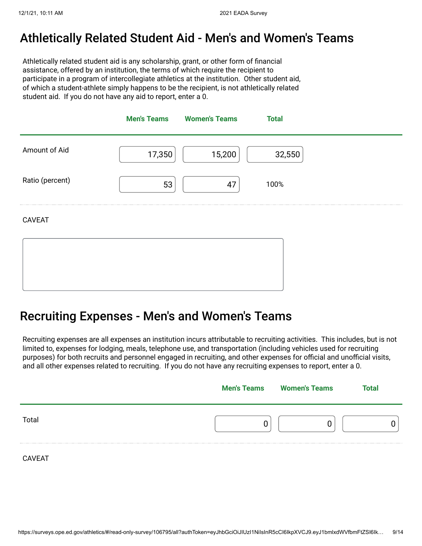### Athletically Related Student Aid - Men's and Women's Teams

Athletically related student aid is any scholarship, grant, or other form of financial assistance, offered by an institution, the terms of which require the recipient to participate in a program of intercollegiate athletics at the institution. Other student aid, of which a student-athlete simply happens to be the recipient, is not athletically related student aid. If you do not have any aid to report, enter a 0.



### Recruiting Expenses - Men's and Women's Teams

Recruiting expenses are all expenses an institution incurs attributable to recruiting activities. This includes, but is not limited to, expenses for lodging, meals, telephone use, and transportation (including vehicles used for recruiting purposes) for both recruits and personnel engaged in recruiting, and other expenses for official and unofficial visits, and all other expenses related to recruiting. If you do not have any recruiting expenses to report, enter a 0.

|       | <b>Men's Teams</b> Women's Teams | Total |
|-------|----------------------------------|-------|
| Total |                                  |       |
|       |                                  |       |

CAVEAT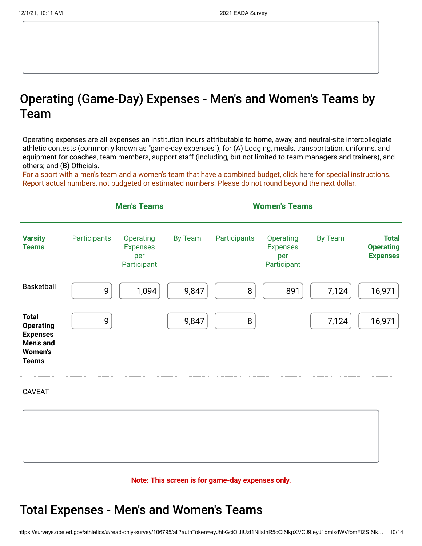# Operating (Game-Day) Expenses - Men's and Women's Teams by Team

Operating expenses are all expenses an institution incurs attributable to home, away, and neutral-site intercollegiate athletic contests (commonly known as "game-day expenses"), for (A) Lodging, meals, transportation, uniforms, and equipment for coaches, team members, support staff (including, but not limited to team managers and trainers), and others; and (B) Officials.

For a sport with a men's team and a women's team that have a combined budget, click [here](https://surveys.ope.ed.gov/athletics2k21/wwwroot/documents/inst_1.pdf) for special instructions. Report actual numbers, not budgeted or estimated numbers. Please do not round beyond the next dollar.



**Note: This screen is for game-day expenses only.**

## Total Expenses - Men's and Women's Teams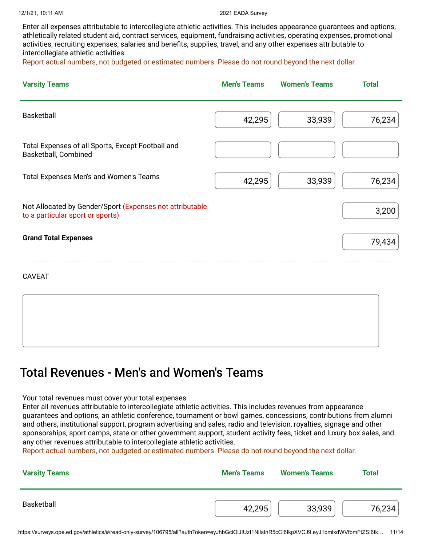Enter all expenses attributable to intercollegiate athletic activities. This includes appearance guarantees and options, athletically related student aid, contract services, equipment, fundraising activities, operating expenses, promotional activities, recruiting expenses, salaries and benefits, supplies, travel, and any other expenses attributable to intercollegiate athletic activities.

Report actual numbers, not budgeted or estimated numbers. Please do not round beyond the next dollar.

| <b>Varsity Teams</b>                                                                         | <b>Men's Teams</b> | <b>Women's Teams</b> | <b>Total</b> |
|----------------------------------------------------------------------------------------------|--------------------|----------------------|--------------|
| <b>Basketball</b>                                                                            | 42,295             | 33,939               | 76,234       |
| Total Expenses of all Sports, Except Football and<br>Basketball, Combined                    |                    |                      |              |
| Total Expenses Men's and Women's Teams                                                       | 42,295             | 33,939               | 76,234       |
| Not Allocated by Gender/Sport (Expenses not attributable<br>to a particular sport or sports) |                    |                      | 3,200        |
| <b>Grand Total Expenses</b>                                                                  |                    |                      | 79,434       |

#### CAVEAT

### Total Revenues - Men's and Women's Teams

Your total revenues must cover your total expenses.

Enter all revenues attributable to intercollegiate athletic activities. This includes revenues from appearance guarantees and options, an athletic conference, tournament or bowl games, concessions, contributions from alumni and others, institutional support, program advertising and sales, radio and television, royalties, signage and other sponsorships, sport camps, state or other government support, student activity fees, ticket and luxury box sales, and any other revenues attributable to intercollegiate athletic activities.

Report actual numbers, not budgeted or estimated numbers. Please do not round beyond the next dollar.

| <b>Varsity Teams</b> | <b>Men's Teams</b> | <b>Women's Teams</b> | <b>Total</b> |
|----------------------|--------------------|----------------------|--------------|
| Basketball           | 42,295             | 33,939               | 76,234       |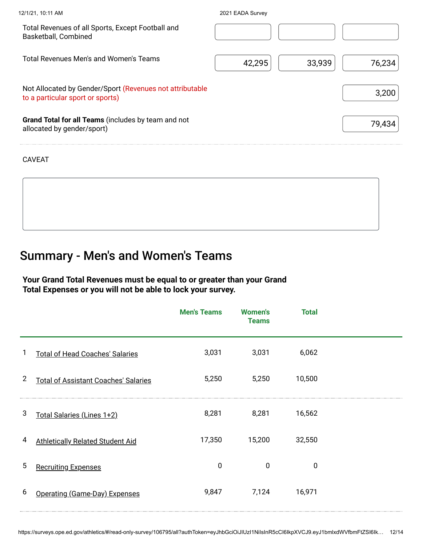| 12/1/21, 10:11 AM                                                                            | 2021 EADA Survey |        |        |
|----------------------------------------------------------------------------------------------|------------------|--------|--------|
| Total Revenues of all Sports, Except Football and<br>Basketball, Combined                    |                  |        |        |
| Total Revenues Men's and Women's Teams                                                       | 42,295           | 33,939 | 76,234 |
| Not Allocated by Gender/Sport (Revenues not attributable<br>to a particular sport or sports) |                  |        | 3,200  |
| Grand Total for all Teams (includes by team and not<br>allocated by gender/sport)            |                  |        | 79,434 |

# Summary - Men's and Women's Teams

**Your Grand Total Revenues must be equal to or greater than your Grand Total Expenses or you will not be able to lock your survey.**

|                |                                             | <b>Men's Teams</b> | <b>Women's</b><br><b>Teams</b> | <b>Total</b> |  |
|----------------|---------------------------------------------|--------------------|--------------------------------|--------------|--|
| 1              | <b>Total of Head Coaches' Salaries</b>      | 3,031              | 3,031                          | 6,062        |  |
| $\overline{2}$ | <b>Total of Assistant Coaches' Salaries</b> | 5,250              | 5,250                          | 10,500       |  |
| 3              | Total Salaries (Lines 1+2)                  | 8,281              | 8,281                          | 16,562       |  |
| 4              | <b>Athletically Related Student Aid</b>     | 17,350             | 15,200                         | 32,550       |  |
| 5              | <b>Recruiting Expenses</b>                  | $\mathbf 0$        | 0                              | $\mathbf 0$  |  |
| 6              | Operating (Game-Day) Expenses               | 9,847              | 7,124                          | 16,971       |  |